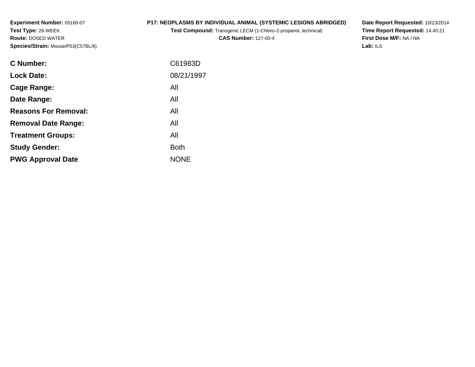**Experiment Number:** 05160-07**Test Type:** 26-WEEK **Route:** DOSED WATER**Species/Strain:** Mouse/P53(C57BL/6)

### **P17: NEOPLASMS BY INDIVIDUAL ANIMAL (SYSTEMIC LESIONS ABRIDGED)**

**Test Compound:** Transgenic LECM (1-Chloro-2-propanol, technical)

**CAS Number:** 127-00-4

**Date Report Requested:** 10/23/2014 **Time Report Requested:** 14:40:21**First Dose M/F:** NA / NA**Lab:** ILS

| C Number:                   | C61983D     |
|-----------------------------|-------------|
| <b>Lock Date:</b>           | 08/21/1997  |
| Cage Range:                 | All         |
| Date Range:                 | All         |
| <b>Reasons For Removal:</b> | All         |
| <b>Removal Date Range:</b>  | All         |
| <b>Treatment Groups:</b>    | All         |
| <b>Study Gender:</b>        | <b>Both</b> |
| <b>PWG Approval Date</b>    | <b>NONE</b> |
|                             |             |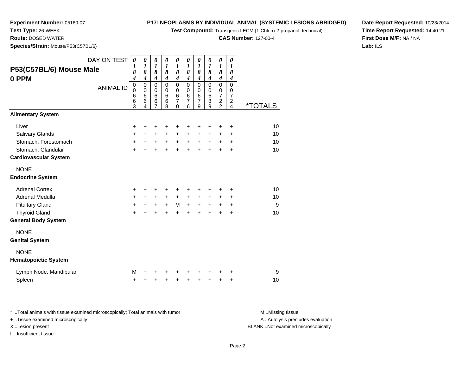**Test Compound:** Transgenic LECM (1-Chloro-2-propanol, technical)

**CAS Number:** 127-00-4

**Date Report Requested:** 10/23/2014**Time Report Requested:** 14:40:21**First Dose M/F:** NA / NA**Lab:** ILS

 **Route:** DOSED WATER**Species/Strain:** Mouse/P53(C57BL/6)

**Experiment Number:** 05160-07

**Test Type:** 26-WEEK

| DAY ON TEST                  |                  | $\boldsymbol{\theta}$ | $\pmb{\theta}$                   | $\pmb{\theta}$        | 0                     | 0                                | 0                     | 0                                 | 0                     | 0                     | 0                                |                       |
|------------------------------|------------------|-----------------------|----------------------------------|-----------------------|-----------------------|----------------------------------|-----------------------|-----------------------------------|-----------------------|-----------------------|----------------------------------|-----------------------|
| P53(C57BL/6) Mouse Male      |                  | 1                     | $\boldsymbol{l}$                 | $\boldsymbol{l}$<br>8 | $\boldsymbol{l}$<br>8 | $\boldsymbol{l}$                 | $\boldsymbol{l}$      | 1                                 | $\boldsymbol{l}$<br>8 | $\boldsymbol{l}$<br>8 | $\boldsymbol{l}$<br>8            |                       |
| 0 PPM                        |                  | 8<br>$\boldsymbol{4}$ | 8<br>$\overline{\boldsymbol{4}}$ | $\boldsymbol{4}$      | $\boldsymbol{4}$      | 8<br>$\overline{\boldsymbol{4}}$ | 8<br>$\boldsymbol{4}$ | 8<br>$\boldsymbol{4}$             | $\boldsymbol{4}$      | $\boldsymbol{4}$      | $\boldsymbol{4}$                 |                       |
|                              | <b>ANIMAL ID</b> | $\pmb{0}$             | $\mathbf 0$                      | $\mathsf 0$           | 0                     | $\mathbf 0$                      | $\mathbf 0$           | $\mathbf 0$                       | $\pmb{0}$             | $\overline{0}$        | $\overline{0}$                   |                       |
|                              |                  | 0                     | $\mathbf 0$                      | $\mathbf 0$           | $\mathbf 0$           | $\mathbf 0$                      | $\mathbf 0$           | $\mathbf 0$                       | $\mathbf 0$           | $\pmb{0}$             | $\mathbf 0$                      |                       |
|                              |                  | 6<br>6                | $\,6$<br>6                       | 6<br>$\,$ 6 $\,$      | 6<br>6                | $\,6$<br>7                       | 6<br>$\overline{7}$   | $6\phantom{1}6$<br>$\overline{7}$ | $\,6\,$<br>8          | $\overline{7}$        | $\overline{7}$<br>$\overline{c}$ |                       |
|                              |                  | 3                     | 4                                | $\overline{7}$        | 8                     | $\Omega$                         | 6                     | 9                                 | 9                     | $\frac{2}{2}$         | $\overline{4}$                   | <i><b>*TOTALS</b></i> |
| <b>Alimentary System</b>     |                  |                       |                                  |                       |                       |                                  |                       |                                   |                       |                       |                                  |                       |
| Liver                        |                  | $\ddot{}$             | $\pm$                            | +                     | +                     | +                                | +                     | +                                 | +                     | +                     | +                                | 10                    |
| Salivary Glands              |                  | $\ddot{}$             | $\ddot{}$                        | $\ddot{}$             | $\ddot{}$             | $\ddot{}$                        | $\ddot{}$             | $\ddot{}$                         | +                     | +                     | +                                | 10                    |
| Stomach, Forestomach         |                  | $\ddot{}$             | $\ddot{}$                        | $\ddot{}$             | $\ddot{}$             | $\ddot{}$                        | $\ddot{}$             | $\ddot{}$                         | $\ddot{}$             | +                     | +                                | 10                    |
| Stomach, Glandular           |                  | $\ddot{}$             | ÷                                | ÷                     | $\ddot{}$             | $\ddot{}$                        | $\ddot{}$             | $\ddot{}$                         | $\ddot{}$             | $\ddot{}$             | $\ddot{}$                        | 10                    |
| <b>Cardiovascular System</b> |                  |                       |                                  |                       |                       |                                  |                       |                                   |                       |                       |                                  |                       |
| <b>NONE</b>                  |                  |                       |                                  |                       |                       |                                  |                       |                                   |                       |                       |                                  |                       |
| <b>Endocrine System</b>      |                  |                       |                                  |                       |                       |                                  |                       |                                   |                       |                       |                                  |                       |
| <b>Adrenal Cortex</b>        |                  | $\ddot{}$             | $\pm$                            | +                     | ٠                     | +                                | ÷                     | ٠                                 | +                     | +                     | +                                | 10                    |
| Adrenal Medulla              |                  | $\ddot{}$             | $\ddot{}$                        | $+$                   | $\ddot{}$             | $+$                              | $+$                   | $\ddot{}$                         | $\ddot{}$             | $\pm$                 | +                                | 10                    |
| <b>Pituitary Gland</b>       |                  | $\ddot{}$             | $\ddot{}$                        | $\ddot{}$             | $\ddot{}$             | M                                | $\ddot{}$             | $\ddot{}$                         | $\ddot{}$             | +                     | +                                | 9                     |
| <b>Thyroid Gland</b>         |                  | $\ddot{}$             | ÷                                | $\ddot{}$             | $\ddot{}$             | $\ddot{}$                        | ÷                     | $\ddot{}$                         | $\ddot{}$             | $\ddot{}$             | $\ddot{}$                        | 10                    |
| <b>General Body System</b>   |                  |                       |                                  |                       |                       |                                  |                       |                                   |                       |                       |                                  |                       |
| <b>NONE</b>                  |                  |                       |                                  |                       |                       |                                  |                       |                                   |                       |                       |                                  |                       |
| <b>Genital System</b>        |                  |                       |                                  |                       |                       |                                  |                       |                                   |                       |                       |                                  |                       |
| <b>NONE</b>                  |                  |                       |                                  |                       |                       |                                  |                       |                                   |                       |                       |                                  |                       |
| <b>Hematopoietic System</b>  |                  |                       |                                  |                       |                       |                                  |                       |                                   |                       |                       |                                  |                       |
| Lymph Node, Mandibular       |                  | M                     |                                  |                       |                       |                                  |                       |                                   |                       |                       | +                                | 9                     |
| Spleen                       |                  | +                     | +                                | +                     | +                     | +                                | +                     | +                                 | +                     | +                     | +                                | 10                    |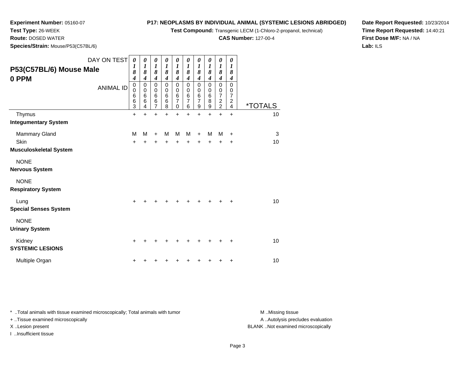**Test Compound:** Transgenic LECM (1-Chloro-2-propanol, technical)

**CAS Number:** 127-00-4

**Date Report Requested:** 10/23/2014**Time Report Requested:** 14:40:21**First Dose M/F:** NA / NA**Lab:** ILS

 **Route:** DOSED WATER**Species/Strain:** Mouse/P53(C57BL/6)

**Experiment Number:** 05160-07

**Test Type:** 26-WEEK

| DAY ON TEST<br>P53(C57BL/6) Mouse Male<br>0 PPM<br><b>ANIMAL ID</b> | $\boldsymbol{\theta}$<br>$\boldsymbol{l}$<br>8<br>$\boldsymbol{4}$<br>$\pmb{0}$<br>$\mathbf 0$<br>$6\phantom{1}6$<br>$\overline{6}$<br>$\overline{3}$ | 0<br>$\boldsymbol{l}$<br>8<br>$\boldsymbol{4}$<br>$\mathbf 0$<br>0<br>6<br>6<br>4 | 0<br>1<br>8<br>$\boldsymbol{4}$<br>$\mathbf 0$<br>0<br>6<br>6<br>$\overline{7}$ | 0<br>$\boldsymbol{l}$<br>8<br>4<br>$\mathbf 0$<br>0<br>$6\phantom{1}6$<br>6<br>8 | 0<br>1<br>8<br>$\boldsymbol{4}$<br>$\mathbf 0$<br>0<br>$6\phantom{1}6$<br>$\overline{7}$<br>0 | 0<br>$\boldsymbol{l}$<br>8<br>$\boldsymbol{4}$<br>$\mathbf 0$<br>0<br>$\,6$<br>$\overline{7}$<br>6 | 0<br>$\boldsymbol{l}$<br>8<br>$\boldsymbol{4}$<br>$\mathbf 0$<br>0<br>$\,6$<br>$\overline{7}$<br>9 | $\boldsymbol{\theta}$<br>$\boldsymbol{l}$<br>8<br>$\boldsymbol{4}$<br>$\mathbf 0$<br>$\pmb{0}$<br>$\,6$<br>8<br>9 | 0<br>$\boldsymbol{l}$<br>8<br>$\boldsymbol{4}$<br>$\mathbf 0$<br>0<br>$\overline{7}$<br>$\overline{c}$<br>$\overline{2}$ | 0<br>$\boldsymbol{l}$<br>8<br>$\boldsymbol{4}$<br>$\mathbf 0$<br>0<br>$\overline{7}$<br>$\boldsymbol{2}$<br>4 | <i><b>*TOTALS</b></i> |
|---------------------------------------------------------------------|-------------------------------------------------------------------------------------------------------------------------------------------------------|-----------------------------------------------------------------------------------|---------------------------------------------------------------------------------|----------------------------------------------------------------------------------|-----------------------------------------------------------------------------------------------|----------------------------------------------------------------------------------------------------|----------------------------------------------------------------------------------------------------|-------------------------------------------------------------------------------------------------------------------|--------------------------------------------------------------------------------------------------------------------------|---------------------------------------------------------------------------------------------------------------|-----------------------|
| Thymus                                                              | $\ddot{}$                                                                                                                                             | $\ddot{}$                                                                         | $\ddot{}$                                                                       | $\ddot{}$                                                                        | ÷                                                                                             | $\ddot{}$                                                                                          | $\ddot{}$                                                                                          | $\ddot{}$                                                                                                         | $\ddot{}$                                                                                                                | $\ddot{}$                                                                                                     | 10                    |
| <b>Integumentary System</b>                                         |                                                                                                                                                       |                                                                                   |                                                                                 |                                                                                  |                                                                                               |                                                                                                    |                                                                                                    |                                                                                                                   |                                                                                                                          |                                                                                                               |                       |
| Mammary Gland                                                       | M                                                                                                                                                     | M                                                                                 | $\div$                                                                          | M                                                                                | M                                                                                             | M                                                                                                  | +                                                                                                  | м                                                                                                                 | M                                                                                                                        | $\ddot{}$                                                                                                     | 3                     |
| Skin                                                                | $\ddot{}$                                                                                                                                             | +                                                                                 |                                                                                 |                                                                                  | +                                                                                             | ÷                                                                                                  | +                                                                                                  | +                                                                                                                 | +                                                                                                                        | +                                                                                                             | 10                    |
| <b>Musculoskeletal System</b>                                       |                                                                                                                                                       |                                                                                   |                                                                                 |                                                                                  |                                                                                               |                                                                                                    |                                                                                                    |                                                                                                                   |                                                                                                                          |                                                                                                               |                       |
| <b>NONE</b><br><b>Nervous System</b>                                |                                                                                                                                                       |                                                                                   |                                                                                 |                                                                                  |                                                                                               |                                                                                                    |                                                                                                    |                                                                                                                   |                                                                                                                          |                                                                                                               |                       |
| <b>NONE</b><br><b>Respiratory System</b>                            |                                                                                                                                                       |                                                                                   |                                                                                 |                                                                                  |                                                                                               |                                                                                                    |                                                                                                    |                                                                                                                   |                                                                                                                          |                                                                                                               |                       |
| Lung<br><b>Special Senses System</b>                                | $\ddot{}$                                                                                                                                             |                                                                                   |                                                                                 |                                                                                  |                                                                                               |                                                                                                    | ٠                                                                                                  |                                                                                                                   | ٠                                                                                                                        | +                                                                                                             | 10                    |
| <b>NONE</b><br><b>Urinary System</b>                                |                                                                                                                                                       |                                                                                   |                                                                                 |                                                                                  |                                                                                               |                                                                                                    |                                                                                                    |                                                                                                                   |                                                                                                                          |                                                                                                               |                       |
| Kidney<br><b>SYSTEMIC LESIONS</b>                                   | $\ddot{}$                                                                                                                                             |                                                                                   |                                                                                 |                                                                                  |                                                                                               |                                                                                                    | +                                                                                                  | +                                                                                                                 | +                                                                                                                        | $\ddot{}$                                                                                                     | 10                    |
| Multiple Organ                                                      | +                                                                                                                                                     |                                                                                   |                                                                                 |                                                                                  |                                                                                               |                                                                                                    |                                                                                                    |                                                                                                                   |                                                                                                                          | +                                                                                                             | 10                    |

\* ..Total animals with tissue examined microscopically; Total animals with tumor **M** . Missing tissue M ..Missing tissue

+ ..Tissue examined microscopically

I ..Insufficient tissue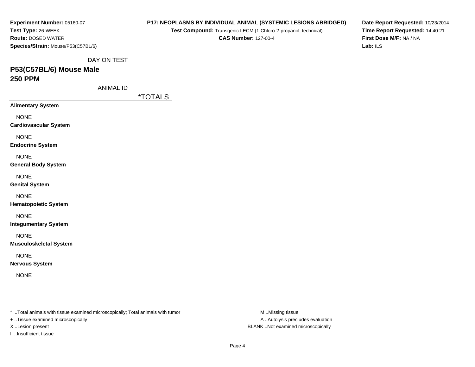| Experiment Number: 05160-07                                                                                          | P17: NEOPLASMS BY INDIVIDUAL ANIMAL (SYSTEMIC LESIONS ABRIDGED) | Date Report Requested: 10/23/2014                     |                                     |  |  |  |
|----------------------------------------------------------------------------------------------------------------------|-----------------------------------------------------------------|-------------------------------------------------------|-------------------------------------|--|--|--|
| Test Type: 26-WEEK                                                                                                   | Test Compound: Transgenic LECM (1-Chloro-2-propanol, technical) |                                                       | Time Report Requested: 14:40:21     |  |  |  |
| <b>Route: DOSED WATER</b><br>Species/Strain: Mouse/P53(C57BL/6)                                                      | <b>CAS Number: 127-00-4</b>                                     |                                                       | First Dose M/F: NA / NA<br>Lab: ILS |  |  |  |
|                                                                                                                      |                                                                 |                                                       |                                     |  |  |  |
| DAY ON TEST                                                                                                          |                                                                 |                                                       |                                     |  |  |  |
| P53(C57BL/6) Mouse Male                                                                                              |                                                                 |                                                       |                                     |  |  |  |
| <b>250 PPM</b>                                                                                                       |                                                                 |                                                       |                                     |  |  |  |
| <b>ANIMAL ID</b>                                                                                                     |                                                                 |                                                       |                                     |  |  |  |
|                                                                                                                      | <i><b>*TOTALS</b></i>                                           |                                                       |                                     |  |  |  |
| <b>Alimentary System</b>                                                                                             |                                                                 |                                                       |                                     |  |  |  |
| <b>NONE</b>                                                                                                          |                                                                 |                                                       |                                     |  |  |  |
| <b>Cardiovascular System</b>                                                                                         |                                                                 |                                                       |                                     |  |  |  |
| <b>NONE</b>                                                                                                          |                                                                 |                                                       |                                     |  |  |  |
| <b>Endocrine System</b>                                                                                              |                                                                 |                                                       |                                     |  |  |  |
| <b>NONE</b>                                                                                                          |                                                                 |                                                       |                                     |  |  |  |
| <b>General Body System</b>                                                                                           |                                                                 |                                                       |                                     |  |  |  |
| <b>NONE</b>                                                                                                          |                                                                 |                                                       |                                     |  |  |  |
| <b>Genital System</b>                                                                                                |                                                                 |                                                       |                                     |  |  |  |
| <b>NONE</b>                                                                                                          |                                                                 |                                                       |                                     |  |  |  |
| <b>Hematopoietic System</b>                                                                                          |                                                                 |                                                       |                                     |  |  |  |
| <b>NONE</b>                                                                                                          |                                                                 |                                                       |                                     |  |  |  |
| <b>Integumentary System</b>                                                                                          |                                                                 |                                                       |                                     |  |  |  |
| <b>NONE</b>                                                                                                          |                                                                 |                                                       |                                     |  |  |  |
| <b>Musculoskeletal System</b>                                                                                        |                                                                 |                                                       |                                     |  |  |  |
|                                                                                                                      |                                                                 |                                                       |                                     |  |  |  |
| <b>NONE</b><br><b>Nervous System</b>                                                                                 |                                                                 |                                                       |                                     |  |  |  |
|                                                                                                                      |                                                                 |                                                       |                                     |  |  |  |
| <b>NONE</b>                                                                                                          |                                                                 |                                                       |                                     |  |  |  |
|                                                                                                                      |                                                                 |                                                       |                                     |  |  |  |
|                                                                                                                      |                                                                 |                                                       |                                     |  |  |  |
|                                                                                                                      |                                                                 |                                                       |                                     |  |  |  |
| *  Total animals with tissue examined microscopically; Total animals with tumor<br>+ Tissue examined microscopically |                                                                 | M Missing tissue<br>A  Autolysis precludes evaluation |                                     |  |  |  |
|                                                                                                                      |                                                                 |                                                       |                                     |  |  |  |

X ..Lesion present BLANK ..Not examined microscopically

I ..Insufficient tissue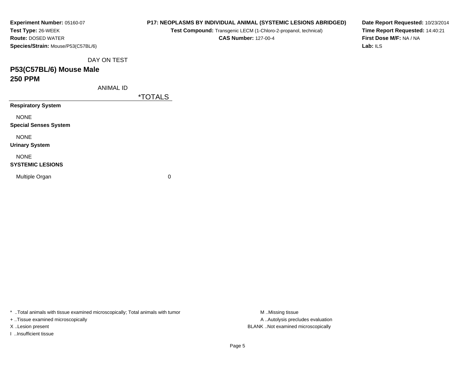| Experiment Number: 05160-07        | P17: NEOPLASMS BY INDIVIDUAL ANIMAL (SYSTEMIC LESIONS ABRIDGED) | Date Report Requested: 10/23/2014 |  |  |  |  |  |
|------------------------------------|-----------------------------------------------------------------|-----------------------------------|--|--|--|--|--|
| Test Type: 26-WEEK                 | Test Compound: Transgenic LECM (1-Chloro-2-propanol, technical) | Time Report Requested: 14:40:21   |  |  |  |  |  |
| <b>Route: DOSED WATER</b>          | <b>CAS Number: 127-00-4</b>                                     | First Dose M/F: NA / NA           |  |  |  |  |  |
| Species/Strain: Mouse/P53(C57BL/6) |                                                                 | Lab: ILS                          |  |  |  |  |  |
| DAY ON TEST                        |                                                                 |                                   |  |  |  |  |  |
| P53(C57BL/6) Mouse Male            |                                                                 |                                   |  |  |  |  |  |
| <b>250 PPM</b>                     |                                                                 |                                   |  |  |  |  |  |
| <b>ANIMAL ID</b>                   |                                                                 |                                   |  |  |  |  |  |
|                                    | <i><b>*TOTALS</b></i>                                           |                                   |  |  |  |  |  |
| <b>Respiratory System</b>          |                                                                 |                                   |  |  |  |  |  |
| <b>NONE</b>                        |                                                                 |                                   |  |  |  |  |  |
| <b>Special Senses System</b>       |                                                                 |                                   |  |  |  |  |  |
| <b>NONE</b>                        |                                                                 |                                   |  |  |  |  |  |
| <b>Urinary System</b>              |                                                                 |                                   |  |  |  |  |  |
| <b>NONE</b>                        |                                                                 |                                   |  |  |  |  |  |
| <b>SYSTEMIC LESIONS</b>            |                                                                 |                                   |  |  |  |  |  |
| Multiple Organ                     | 0                                                               |                                   |  |  |  |  |  |
|                                    |                                                                 |                                   |  |  |  |  |  |
|                                    |                                                                 |                                   |  |  |  |  |  |

\* ..Total animals with tissue examined microscopically; Total animals with tumor M..Missing tissue M ..Missing tissue

+ ..Tissue examined microscopically

I ..Insufficient tissue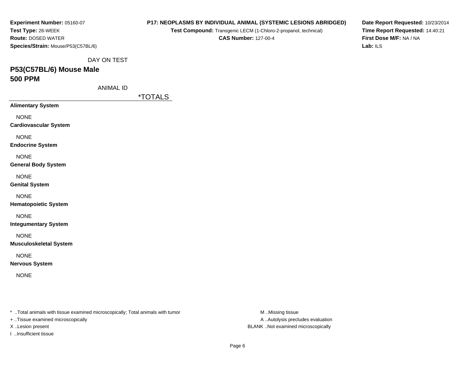| Experiment Number: 05160-07                                                    | P17: NEOPLASMS BY INDIVIDUAL ANIMAL (SYSTEMIC LESIONS ABRIDGED) | Date Report Requested: 10/23/2014 |                                     |  |  |  |  |
|--------------------------------------------------------------------------------|-----------------------------------------------------------------|-----------------------------------|-------------------------------------|--|--|--|--|
| Test Type: 26-WEEK                                                             | Test Compound: Transgenic LECM (1-Chloro-2-propanol, technical) | Time Report Requested: 14:40:21   |                                     |  |  |  |  |
| Route: DOSED WATER                                                             | <b>CAS Number: 127-00-4</b>                                     |                                   | First Dose M/F: NA / NA<br>Lab: ILS |  |  |  |  |
| Species/Strain: Mouse/P53(C57BL/6)                                             |                                                                 |                                   |                                     |  |  |  |  |
| DAY ON TEST                                                                    |                                                                 |                                   |                                     |  |  |  |  |
| P53(C57BL/6) Mouse Male                                                        |                                                                 |                                   |                                     |  |  |  |  |
| <b>500 PPM</b>                                                                 |                                                                 |                                   |                                     |  |  |  |  |
| <b>ANIMAL ID</b>                                                               |                                                                 |                                   |                                     |  |  |  |  |
|                                                                                | <i><b>*TOTALS</b></i>                                           |                                   |                                     |  |  |  |  |
| <b>Alimentary System</b>                                                       |                                                                 |                                   |                                     |  |  |  |  |
| <b>NONE</b>                                                                    |                                                                 |                                   |                                     |  |  |  |  |
| <b>Cardiovascular System</b>                                                   |                                                                 |                                   |                                     |  |  |  |  |
| <b>NONE</b>                                                                    |                                                                 |                                   |                                     |  |  |  |  |
| <b>Endocrine System</b>                                                        |                                                                 |                                   |                                     |  |  |  |  |
| <b>NONE</b>                                                                    |                                                                 |                                   |                                     |  |  |  |  |
| <b>General Body System</b>                                                     |                                                                 |                                   |                                     |  |  |  |  |
| <b>NONE</b>                                                                    |                                                                 |                                   |                                     |  |  |  |  |
| <b>Genital System</b>                                                          |                                                                 |                                   |                                     |  |  |  |  |
| <b>NONE</b>                                                                    |                                                                 |                                   |                                     |  |  |  |  |
| <b>Hematopoietic System</b>                                                    |                                                                 |                                   |                                     |  |  |  |  |
|                                                                                |                                                                 |                                   |                                     |  |  |  |  |
| <b>NONE</b><br><b>Integumentary System</b>                                     |                                                                 |                                   |                                     |  |  |  |  |
|                                                                                |                                                                 |                                   |                                     |  |  |  |  |
| <b>NONE</b>                                                                    |                                                                 |                                   |                                     |  |  |  |  |
| <b>Musculoskeletal System</b>                                                  |                                                                 |                                   |                                     |  |  |  |  |
| <b>NONE</b>                                                                    |                                                                 |                                   |                                     |  |  |  |  |
| <b>Nervous System</b>                                                          |                                                                 |                                   |                                     |  |  |  |  |
| <b>NONE</b>                                                                    |                                                                 |                                   |                                     |  |  |  |  |
|                                                                                |                                                                 |                                   |                                     |  |  |  |  |
|                                                                                |                                                                 |                                   |                                     |  |  |  |  |
|                                                                                |                                                                 |                                   |                                     |  |  |  |  |
| * Total animals with tissue examined microscopically; Total animals with tumor |                                                                 | M Missing tissue                  |                                     |  |  |  |  |
| + Tissue examined microscopically                                              |                                                                 | A  Autolysis precludes evaluation |                                     |  |  |  |  |

X ..Lesion present BLANK ..Not examined microscopically

I ..Insufficient tissue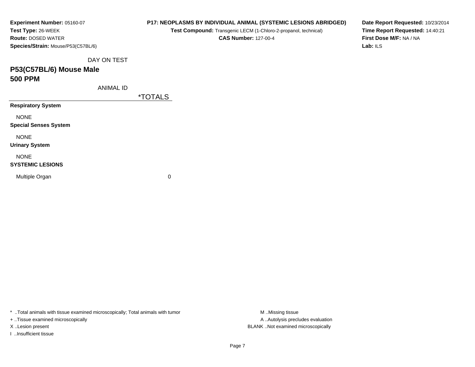| Experiment Number: 05160-07        | P17: NEOPLASMS BY INDIVIDUAL ANIMAL (SYSTEMIC LESIONS ABRIDGED) | Date Report Requested: 10/23/2014 |
|------------------------------------|-----------------------------------------------------------------|-----------------------------------|
| Test Type: 26-WEEK                 | Test Compound: Transgenic LECM (1-Chloro-2-propanol, technical) | Time Report Requested: 14:40:21   |
| <b>Route: DOSED WATER</b>          | <b>CAS Number: 127-00-4</b>                                     | First Dose M/F: NA / NA           |
| Species/Strain: Mouse/P53(C57BL/6) |                                                                 | Lab: ILS                          |
| DAY ON TEST                        |                                                                 |                                   |
| P53(C57BL/6) Mouse Male            |                                                                 |                                   |
| <b>500 PPM</b>                     |                                                                 |                                   |
| ANIMAL ID                          |                                                                 |                                   |
|                                    | <i><b>*TOTALS</b></i>                                           |                                   |
| <b>Respiratory System</b>          |                                                                 |                                   |
| <b>NONE</b>                        |                                                                 |                                   |
| <b>Special Senses System</b>       |                                                                 |                                   |
| <b>NONE</b>                        |                                                                 |                                   |
| <b>Urinary System</b>              |                                                                 |                                   |
| <b>NONE</b>                        |                                                                 |                                   |
| <b>SYSTEMIC LESIONS</b>            |                                                                 |                                   |
| Multiple Organ                     | 0                                                               |                                   |
|                                    |                                                                 |                                   |
|                                    |                                                                 |                                   |

\* ..Total animals with tissue examined microscopically; Total animals with tumor M..Missing tissue M ..Missing tissue

+ ..Tissue examined microscopically

I ..Insufficient tissue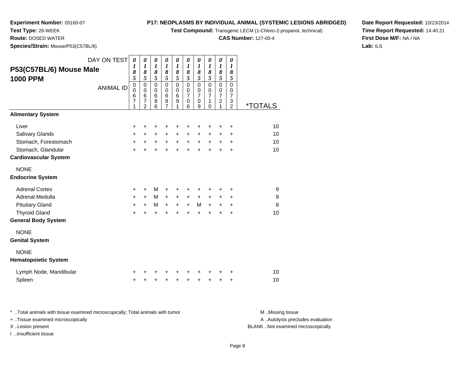**Test Compound:** Transgenic LECM (1-Chloro-2-propanol, technical)

**CAS Number:** 127-00-4

**Date Report Requested:** 10/23/2014**Time Report Requested:** 14:40:21**First Dose M/F:** NA / NA**Lab:** ILS

**Test Type:** 26-WEEK **Route:** DOSED WATER**Species/Strain:** Mouse/P53(C57BL/6)

**Experiment Number:** 05160-07

|                              | DAY ON TEST      | $\boldsymbol{\theta}$ | $\boldsymbol{\theta}$             | 0                    | 0                | 0                | $\pmb{\theta}$      | 0                   | $\boldsymbol{\theta}$ | $\pmb{\theta}$                | 0                   |                       |
|------------------------------|------------------|-----------------------|-----------------------------------|----------------------|------------------|------------------|---------------------|---------------------|-----------------------|-------------------------------|---------------------|-----------------------|
| P53(C57BL/6) Mouse Male      |                  | $\boldsymbol{l}$      | $\boldsymbol{l}$                  | $\boldsymbol{l}$     | $\boldsymbol{l}$ | $\boldsymbol{l}$ | $\boldsymbol{l}$    | $\boldsymbol{l}$    | $\boldsymbol{l}$      | $\boldsymbol{l}$              | $\boldsymbol{l}$    |                       |
| <b>1000 PPM</b>              |                  | 8<br>5                | 8<br>5                            | 8<br>5               | $\pmb{8}$<br>5   | 8<br>5           | 8<br>5              | 8<br>5              | 8<br>5                | 8<br>$\overline{5}$           | 8<br>5              |                       |
|                              | <b>ANIMAL ID</b> | $\pmb{0}$             | $\pmb{0}$                         | $\pmb{0}$            | $\pmb{0}$        | $\pmb{0}$        | 0                   | $\mathbf 0$         | $\mathbf 0$           | $\mathsf 0$                   | $\pmb{0}$           |                       |
|                              |                  | $\mathbf 0$           | $\pmb{0}$                         | $\mathbf 0$          | $\mathbf 0$      | $\mathbf 0$      | $\mathbf 0$         | $\mathbf 0$         | $\mathbf 0$           | $\mathbf 0$<br>$\overline{7}$ | 0                   |                       |
|                              |                  | 6<br>$\overline{7}$   | $6\phantom{1}6$<br>$\overline{7}$ | $6\phantom{1}6$<br>8 | $\,6$<br>8       | 6<br>$\mathsf g$ | $\overline{7}$<br>0 | $\overline{7}$<br>0 | $\overline{7}$<br>1   |                               | $\overline{7}$<br>3 |                       |
|                              |                  | 1                     | $\overline{2}$                    | 6                    | $\overline{7}$   | 1                | 6                   | 9                   | $\Omega$              | $\frac{2}{1}$                 | $\overline{2}$      | <i><b>*TOTALS</b></i> |
| <b>Alimentary System</b>     |                  |                       |                                   |                      |                  |                  |                     |                     |                       |                               |                     |                       |
| Liver                        |                  | +                     | +                                 | +                    | +                | +                | +                   | +                   | ٠                     | ÷                             | ÷                   | 10                    |
| Salivary Glands              |                  | $\ddot{}$             | $\ddot{}$                         | $\ddot{}$            | $+$              | $\ddot{}$        | $+$                 | $\ddot{}$           |                       | $\ddot{}$                     | $\ddot{}$           | 10                    |
| Stomach, Forestomach         |                  | $\ddot{}$             | +                                 | $\ddot{}$            | $\ddot{}$        | $\ddot{}$        | $\ddot{}$           | $\ddot{}$           | $\ddot{}$             | +                             | +                   | 10                    |
| Stomach, Glandular           |                  | $\ddot{}$             |                                   |                      |                  | $\ddot{}$        | $\ddot{}$           | $\ddot{}$           |                       | $\ddot{}$                     | $\ddot{}$           | 10                    |
| <b>Cardiovascular System</b> |                  |                       |                                   |                      |                  |                  |                     |                     |                       |                               |                     |                       |
| <b>NONE</b>                  |                  |                       |                                   |                      |                  |                  |                     |                     |                       |                               |                     |                       |
| <b>Endocrine System</b>      |                  |                       |                                   |                      |                  |                  |                     |                     |                       |                               |                     |                       |
| <b>Adrenal Cortex</b>        |                  | +                     | $\ddot{}$                         | м                    | +                | +                | +                   | +                   | ٠                     | ٠                             | +                   | 9                     |
| Adrenal Medulla              |                  | $\ddot{}$             | $+$                               | М                    | $+$              | $\ddot{}$        | $+$                 | $\ddot{}$           | $+$                   | $\ddot{}$                     | +                   | 9                     |
| <b>Pituitary Gland</b>       |                  | $\ddot{}$             | $\ddot{}$                         | M                    | $\ddot{}$        | $\ddot{}$        | $+$                 | М                   | $\ddot{}$             | +                             | +                   | 8                     |
| <b>Thyroid Gland</b>         |                  | $\ddot{}$             | $\ddot{}$                         | $\ddot{}$            | ÷                | $\ddot{}$        | $\ddot{}$           | $\ddot{}$           | $\ddot{}$             | +                             | $\ddot{}$           | 10                    |
| <b>General Body System</b>   |                  |                       |                                   |                      |                  |                  |                     |                     |                       |                               |                     |                       |
| <b>NONE</b>                  |                  |                       |                                   |                      |                  |                  |                     |                     |                       |                               |                     |                       |
| <b>Genital System</b>        |                  |                       |                                   |                      |                  |                  |                     |                     |                       |                               |                     |                       |
| <b>NONE</b>                  |                  |                       |                                   |                      |                  |                  |                     |                     |                       |                               |                     |                       |
| <b>Hematopoietic System</b>  |                  |                       |                                   |                      |                  |                  |                     |                     |                       |                               |                     |                       |
| Lymph Node, Mandibular       |                  | +                     |                                   |                      |                  |                  |                     |                     |                       |                               | +                   | 10                    |
| Spleen                       |                  | $\ddot{}$             | +                                 | +                    | +                | +                | +                   | +                   | +                     | +                             | +                   | 10                    |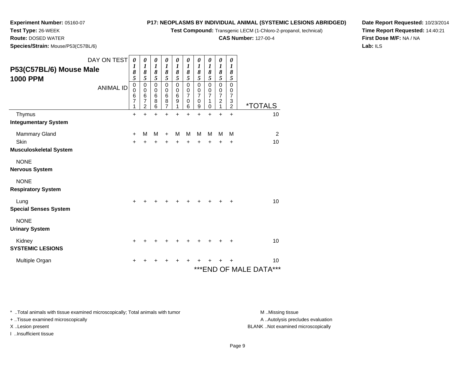**Test Compound:** Transgenic LECM (1-Chloro-2-propanol, technical)

**CAS Number:** 127-00-4

**Date Report Requested:** 10/23/2014**Time Report Requested:** 14:40:21**First Dose M/F:** NA / NA**Lab:** ILS

**Test Type:** 26-WEEK **Route:** DOSED WATER**Species/Strain:** Mouse/P53(C57BL/6)

**Experiment Number:** 05160-07

| P53(C57BL/6) Mouse Male<br><b>1000 PPM</b> | DAY ON TEST<br><b>ANIMAL ID</b> | $\boldsymbol{\theta}$<br>$\boldsymbol{l}$<br>8<br>$\overline{5}$<br>$\overline{0}$<br>0<br>6<br>7<br>1 | 0<br>$\boldsymbol{l}$<br>8<br>5<br>$\mathbf 0$<br>0<br>6<br>7<br>$\overline{c}$ | 0<br>$\boldsymbol{l}$<br>8<br>$\overline{5}$<br>$\mathsf 0$<br>0<br>6<br>8<br>6 | $\pmb{\theta}$<br>$\boldsymbol{l}$<br>8<br>$\overline{5}$<br>$\mathbf 0$<br>$\mathbf 0$<br>6<br>8<br>7 | 0<br>$\boldsymbol{l}$<br>$\pmb{8}$<br>$\overline{5}$<br>$\mathbf 0$<br>$\pmb{0}$<br>$6\phantom{1}6$<br>$\boldsymbol{9}$<br>1 | 0<br>$\boldsymbol{l}$<br>$\pmb{8}$<br>5<br>$\mathbf 0$<br>$\pmb{0}$<br>$\overline{7}$<br>$\pmb{0}$<br>6 | 0<br>$\boldsymbol{l}$<br>8<br>5<br>$\mathbf 0$<br>$\pmb{0}$<br>$\overline{7}$<br>$\mathbf 0$<br>9 | 0<br>$\boldsymbol{l}$<br>8<br>5<br>$\mathsf 0$<br>0<br>$\overline{7}$<br>1<br>0 | 0<br>$\boldsymbol{l}$<br>8<br>5<br>$\mathbf 0$<br>$\begin{array}{c} 0 \\ 7 \end{array}$<br>$\boldsymbol{2}$<br>1 | 0<br>$\boldsymbol{l}$<br>8<br>$\sqrt{5}$<br>$\mathsf 0$<br>0<br>$\overline{7}$<br>3<br>$\overline{c}$ | <i><b>*TOTALS</b></i>             |
|--------------------------------------------|---------------------------------|--------------------------------------------------------------------------------------------------------|---------------------------------------------------------------------------------|---------------------------------------------------------------------------------|--------------------------------------------------------------------------------------------------------|------------------------------------------------------------------------------------------------------------------------------|---------------------------------------------------------------------------------------------------------|---------------------------------------------------------------------------------------------------|---------------------------------------------------------------------------------|------------------------------------------------------------------------------------------------------------------|-------------------------------------------------------------------------------------------------------|-----------------------------------|
| Thymus                                     |                                 | +                                                                                                      | +                                                                               | +                                                                               |                                                                                                        | +                                                                                                                            | ÷                                                                                                       | $\ddot{}$                                                                                         | $\ddot{}$                                                                       | $\ddot{}$                                                                                                        | $\ddot{}$                                                                                             | 10                                |
| <b>Integumentary System</b>                |                                 |                                                                                                        |                                                                                 |                                                                                 |                                                                                                        |                                                                                                                              |                                                                                                         |                                                                                                   |                                                                                 |                                                                                                                  |                                                                                                       |                                   |
| <b>Mammary Gland</b>                       |                                 | $\ddot{}$                                                                                              | M                                                                               | M                                                                               | $\ddot{}$                                                                                              | M                                                                                                                            | M                                                                                                       | M                                                                                                 | M                                                                               | M                                                                                                                | M                                                                                                     | $\overline{2}$                    |
| Skin                                       |                                 | +                                                                                                      | +                                                                               | $\ddot{}$                                                                       | +                                                                                                      | $\pm$                                                                                                                        | $\ddot{}$                                                                                               | +                                                                                                 | +                                                                               | $\ddot{}$                                                                                                        | +                                                                                                     | 10                                |
| <b>Musculoskeletal System</b>              |                                 |                                                                                                        |                                                                                 |                                                                                 |                                                                                                        |                                                                                                                              |                                                                                                         |                                                                                                   |                                                                                 |                                                                                                                  |                                                                                                       |                                   |
| <b>NONE</b>                                |                                 |                                                                                                        |                                                                                 |                                                                                 |                                                                                                        |                                                                                                                              |                                                                                                         |                                                                                                   |                                                                                 |                                                                                                                  |                                                                                                       |                                   |
| <b>Nervous System</b>                      |                                 |                                                                                                        |                                                                                 |                                                                                 |                                                                                                        |                                                                                                                              |                                                                                                         |                                                                                                   |                                                                                 |                                                                                                                  |                                                                                                       |                                   |
| <b>NONE</b>                                |                                 |                                                                                                        |                                                                                 |                                                                                 |                                                                                                        |                                                                                                                              |                                                                                                         |                                                                                                   |                                                                                 |                                                                                                                  |                                                                                                       |                                   |
| <b>Respiratory System</b>                  |                                 |                                                                                                        |                                                                                 |                                                                                 |                                                                                                        |                                                                                                                              |                                                                                                         |                                                                                                   |                                                                                 |                                                                                                                  |                                                                                                       |                                   |
| Lung<br><b>Special Senses System</b>       |                                 | $\pm$                                                                                                  |                                                                                 |                                                                                 |                                                                                                        |                                                                                                                              |                                                                                                         |                                                                                                   |                                                                                 |                                                                                                                  | +                                                                                                     | 10                                |
| <b>NONE</b><br><b>Urinary System</b>       |                                 |                                                                                                        |                                                                                 |                                                                                 |                                                                                                        |                                                                                                                              |                                                                                                         |                                                                                                   |                                                                                 |                                                                                                                  |                                                                                                       |                                   |
| Kidney<br><b>SYSTEMIC LESIONS</b>          |                                 | +                                                                                                      |                                                                                 |                                                                                 |                                                                                                        |                                                                                                                              |                                                                                                         |                                                                                                   |                                                                                 |                                                                                                                  | +                                                                                                     | 10                                |
| Multiple Organ                             |                                 |                                                                                                        |                                                                                 |                                                                                 |                                                                                                        |                                                                                                                              |                                                                                                         |                                                                                                   |                                                                                 |                                                                                                                  |                                                                                                       | 10<br>***<br>*** END OF MALE DATA |

\* ..Total animals with tissue examined microscopically; Total animals with tumor **M** . Missing tissue M ..Missing tissue

+ ..Tissue examined microscopically

I ..Insufficient tissue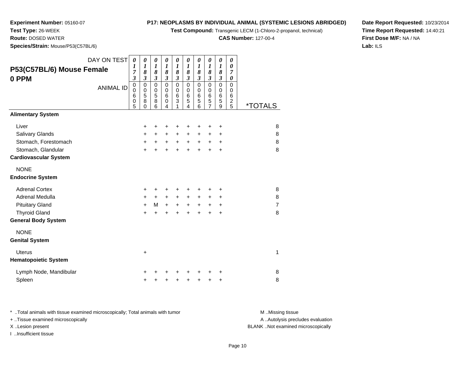**Test Compound:** Transgenic LECM (1-Chloro-2-propanol, technical)

**CAS Number:** 127-00-4

**Date Report Requested:** 10/23/2014**Time Report Requested:** 14:40:21**First Dose M/F:** NA / NA**Lab:** ILS

 **Route:** DOSED WATER**Species/Strain:** Mouse/P53(C57BL/6)

**Experiment Number:** 05160-07

**Test Type:** 26-WEEK

| <u>s, on anno modos, , oo joo . D</u> |                                                                     |                                                                    |                                                             |                                                             |                                                   |                                                             |                                                                           |                                                                          |                                                                 |                                                     |                       |
|---------------------------------------|---------------------------------------------------------------------|--------------------------------------------------------------------|-------------------------------------------------------------|-------------------------------------------------------------|---------------------------------------------------|-------------------------------------------------------------|---------------------------------------------------------------------------|--------------------------------------------------------------------------|-----------------------------------------------------------------|-----------------------------------------------------|-----------------------|
| DAY ON TEST                           | $\boldsymbol{\theta}$<br>$\boldsymbol{l}$                           | $\boldsymbol{\theta}$<br>$\boldsymbol{l}$                          | 0<br>$\boldsymbol{l}$                                       | $\boldsymbol{\theta}$<br>$\boldsymbol{l}$                   | $\boldsymbol{\theta}$<br>$\boldsymbol{l}$         | $\boldsymbol{\theta}$<br>$\boldsymbol{l}$                   | $\boldsymbol{\theta}$<br>$\boldsymbol{l}$                                 | 0<br>$\boldsymbol{l}$                                                    | $\boldsymbol{\theta}$<br>$\boldsymbol{l}$                       | 0<br>$\boldsymbol{\theta}$                          |                       |
| P53(C57BL/6) Mouse Female             | 7                                                                   | 8                                                                  | 8                                                           | 8                                                           | 8                                                 | 8                                                           | 8                                                                         | 8                                                                        | 8                                                               | $\overline{7}$                                      |                       |
| 0 PPM<br><b>ANIMAL ID</b>             | $\mathfrak{z}$<br>$\pmb{0}$<br>$\mathbf 0$<br>6<br>$\mathbf 0$<br>5 | $\mathfrak{z}$<br>$\mathbf 0$<br>$\mathbf 0$<br>5<br>8<br>$\Omega$ | $\mathfrak{z}$<br>$\mathbf 0$<br>$\mathbf 0$<br>5<br>8<br>6 | $\mathfrak{z}$<br>$\mathbf 0$<br>0<br>6<br>$\mathbf 0$<br>4 | $\mathfrak{z}$<br>$\mathbf 0$<br>0<br>6<br>3<br>1 | $\mathfrak{z}$<br>$\mathbf 0$<br>$\mathbf 0$<br>6<br>5<br>4 | $\mathfrak{z}$<br>$\mathbf 0$<br>$\mathbf 0$<br>$6\phantom{1}6$<br>5<br>6 | $\mathfrak{z}$<br>$\mathbf 0$<br>$\mathbf 0$<br>6<br>5<br>$\overline{7}$ | $\mathfrak{z}$<br>$\mathbf 0$<br>0<br>$6\phantom{1}6$<br>5<br>9 | 0<br>$\mathbf 0$<br>0<br>6<br>$\boldsymbol{2}$<br>5 | <i><b>*TOTALS</b></i> |
| <b>Alimentary System</b>              |                                                                     |                                                                    |                                                             |                                                             |                                                   |                                                             |                                                                           |                                                                          |                                                                 |                                                     |                       |
| Liver                                 |                                                                     | +                                                                  | +                                                           | +                                                           | ٠                                                 | +                                                           | +                                                                         | +                                                                        | +                                                               |                                                     | 8                     |
| <b>Salivary Glands</b>                |                                                                     | $\ddot{}$                                                          | $\ddot{}$                                                   | $+$                                                         | $\ddot{}$                                         | $\ddot{}$                                                   | +                                                                         | $\ddot{}$                                                                | +                                                               |                                                     | 8                     |
| Stomach, Forestomach                  |                                                                     | $+$                                                                | $+$                                                         | $+$                                                         |                                                   | $+$ $+$                                                     |                                                                           | $+$ $+$                                                                  | $\ddot{}$                                                       |                                                     | 8                     |
| Stomach, Glandular                    |                                                                     | $+$                                                                | $\ddot{}$                                                   | $\ddot{}$                                                   | $\ddot{}$                                         | $\ddot{}$                                                   | $\ddot{}$                                                                 | $\ddot{}$                                                                | $\ddot{}$                                                       |                                                     | 8                     |
| <b>Cardiovascular System</b>          |                                                                     |                                                                    |                                                             |                                                             |                                                   |                                                             |                                                                           |                                                                          |                                                                 |                                                     |                       |
| <b>NONE</b>                           |                                                                     |                                                                    |                                                             |                                                             |                                                   |                                                             |                                                                           |                                                                          |                                                                 |                                                     |                       |
| <b>Endocrine System</b>               |                                                                     |                                                                    |                                                             |                                                             |                                                   |                                                             |                                                                           |                                                                          |                                                                 |                                                     |                       |
| <b>Adrenal Cortex</b>                 |                                                                     | $\ddot{}$                                                          | +                                                           | +                                                           | ÷                                                 | ÷                                                           | +                                                                         | +                                                                        | +                                                               |                                                     | 8                     |
| Adrenal Medulla                       |                                                                     | +                                                                  | $+$                                                         | $+$                                                         | $+$                                               | $+$                                                         | +                                                                         | $\ddot{}$                                                                | +                                                               |                                                     | 8                     |
| <b>Pituitary Gland</b>                |                                                                     | $+$                                                                | M                                                           | $+$                                                         | $+$                                               | $+$                                                         |                                                                           | $+$ $+$                                                                  | +                                                               |                                                     | $\overline{7}$        |
| <b>Thyroid Gland</b>                  |                                                                     | $\ddot{}$                                                          | $\ddot{}$                                                   | $\ddot{}$                                                   | $\ddot{}$                                         | $\ddot{}$                                                   |                                                                           | $\ddot{}$                                                                | $\ddot{}$                                                       |                                                     | 8                     |
| <b>General Body System</b>            |                                                                     |                                                                    |                                                             |                                                             |                                                   |                                                             |                                                                           |                                                                          |                                                                 |                                                     |                       |
| <b>NONE</b>                           |                                                                     |                                                                    |                                                             |                                                             |                                                   |                                                             |                                                                           |                                                                          |                                                                 |                                                     |                       |
| <b>Genital System</b>                 |                                                                     |                                                                    |                                                             |                                                             |                                                   |                                                             |                                                                           |                                                                          |                                                                 |                                                     |                       |
| <b>Uterus</b>                         |                                                                     | $\ddot{}$                                                          |                                                             |                                                             |                                                   |                                                             |                                                                           |                                                                          |                                                                 |                                                     | 1                     |
| <b>Hematopoietic System</b>           |                                                                     |                                                                    |                                                             |                                                             |                                                   |                                                             |                                                                           |                                                                          |                                                                 |                                                     |                       |
| Lymph Node, Mandibular                |                                                                     |                                                                    |                                                             |                                                             |                                                   |                                                             |                                                                           |                                                                          | +                                                               |                                                     | 8                     |
| Spleen                                |                                                                     | +                                                                  | $\ddot{}$                                                   | +                                                           | +                                                 | $\ddot{}$                                                   | +                                                                         | $\ddot{}$                                                                | +                                                               |                                                     | 8                     |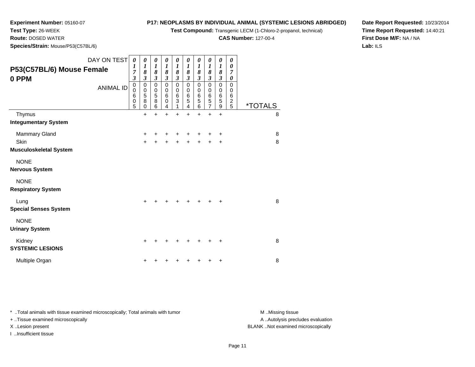**Test Compound:** Transgenic LECM (1-Chloro-2-propanol, technical)

**CAS Number:** 127-00-4

**Date Report Requested:** 10/23/2014**Time Report Requested:** 14:40:21**First Dose M/F:** NA / NA**Lab:** ILS

**Species/Strain:** Mouse/P53(C57BL/6)

**Experiment Number:** 05160-07

**Test Type:** 26-WEEK**Route:** DOSED WATER

| P53(C57BL/6) Mouse Female<br>0 PPM       | DAY ON TEST<br><b>ANIMAL ID</b> | $\boldsymbol{\theta}$<br>$\boldsymbol{l}$<br>7<br>$\mathfrak{z}$<br>$\pmb{0}$<br>$\mathbf 0$<br>6<br>$\,0\,$<br>5 | 0<br>$\boldsymbol{l}$<br>8<br>3<br>$\mathbf 0$<br>$\mathbf 0$<br>5<br>8<br>0 | 0<br>$\boldsymbol{l}$<br>8<br>3<br>$\mathbf 0$<br>$\pmb{0}$<br>5<br>$\overline{8}$<br>6 | 0<br>1<br>8<br>3<br>$\mathbf 0$<br>0<br>6<br>0<br>4 | 0<br>1<br>8<br>$\boldsymbol{\beta}$<br>$\mathbf 0$<br>0<br>$\,6$<br>3 | 0<br>$\boldsymbol{l}$<br>8<br>$\boldsymbol{\beta}$<br>$\mathbf 0$<br>0<br>$\,6$<br>5<br>4 | 0<br>1<br>8<br>3<br>$\mathbf 0$<br>$\mathbf 0$<br>$\,6$<br>5<br>6 | 0<br>$\boldsymbol{l}$<br>8<br>$\boldsymbol{\beta}$<br>$\mathbf 0$<br>0<br>$\,6$<br>5<br>$\overline{7}$ | 0<br>$\boldsymbol{l}$<br>8<br>$\boldsymbol{\beta}$<br>$\pmb{0}$<br>$\,0\,$<br>$\frac{6}{5}$<br>$\boldsymbol{9}$ | 0<br>0<br>7<br>0<br>$\mathbf 0$<br>0<br>6<br>$\frac{2}{5}$ | <i><b>*TOTALS</b></i> |   |
|------------------------------------------|---------------------------------|-------------------------------------------------------------------------------------------------------------------|------------------------------------------------------------------------------|-----------------------------------------------------------------------------------------|-----------------------------------------------------|-----------------------------------------------------------------------|-------------------------------------------------------------------------------------------|-------------------------------------------------------------------|--------------------------------------------------------------------------------------------------------|-----------------------------------------------------------------------------------------------------------------|------------------------------------------------------------|-----------------------|---|
| Thymus                                   |                                 |                                                                                                                   | $\ddot{}$                                                                    | $\ddot{}$                                                                               | $\ddot{}$                                           | $\ddot{}$                                                             | $\ddot{}$                                                                                 | $\ddot{}$                                                         | $\ddot{}$                                                                                              | $+$                                                                                                             |                                                            |                       | 8 |
| <b>Integumentary System</b>              |                                 |                                                                                                                   |                                                                              |                                                                                         |                                                     |                                                                       |                                                                                           |                                                                   |                                                                                                        |                                                                                                                 |                                                            |                       |   |
| Mammary Gland                            |                                 |                                                                                                                   | +                                                                            |                                                                                         |                                                     |                                                                       |                                                                                           |                                                                   | +                                                                                                      | +                                                                                                               |                                                            |                       | 8 |
| Skin                                     |                                 |                                                                                                                   | +                                                                            |                                                                                         |                                                     |                                                                       |                                                                                           |                                                                   | +                                                                                                      | +                                                                                                               |                                                            |                       | 8 |
| <b>Musculoskeletal System</b>            |                                 |                                                                                                                   |                                                                              |                                                                                         |                                                     |                                                                       |                                                                                           |                                                                   |                                                                                                        |                                                                                                                 |                                                            |                       |   |
| <b>NONE</b><br><b>Nervous System</b>     |                                 |                                                                                                                   |                                                                              |                                                                                         |                                                     |                                                                       |                                                                                           |                                                                   |                                                                                                        |                                                                                                                 |                                                            |                       |   |
| <b>NONE</b><br><b>Respiratory System</b> |                                 |                                                                                                                   |                                                                              |                                                                                         |                                                     |                                                                       |                                                                                           |                                                                   |                                                                                                        |                                                                                                                 |                                                            |                       |   |
| Lung<br><b>Special Senses System</b>     |                                 |                                                                                                                   | $\div$                                                                       |                                                                                         |                                                     |                                                                       |                                                                                           |                                                                   | $\ddot{}$                                                                                              | $\ddot{}$                                                                                                       |                                                            |                       | 8 |
| <b>NONE</b><br><b>Urinary System</b>     |                                 |                                                                                                                   |                                                                              |                                                                                         |                                                     |                                                                       |                                                                                           |                                                                   |                                                                                                        |                                                                                                                 |                                                            |                       |   |
| Kidney<br><b>SYSTEMIC LESIONS</b>        |                                 |                                                                                                                   | +                                                                            |                                                                                         |                                                     |                                                                       |                                                                                           |                                                                   | ÷                                                                                                      | ÷                                                                                                               |                                                            |                       | 8 |
| Multiple Organ                           |                                 |                                                                                                                   |                                                                              |                                                                                         |                                                     |                                                                       |                                                                                           |                                                                   |                                                                                                        | ÷                                                                                                               |                                                            |                       | 8 |

\* ..Total animals with tissue examined microscopically; Total animals with tumor **M** . Missing tissue M ..Missing tissue

+ ..Tissue examined microscopically

I ..Insufficient tissue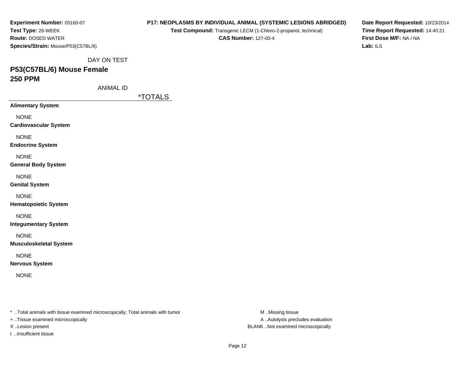| Experiment Number: 05160-07        |
|------------------------------------|
| Test Type: 26-WEEK                 |
| <b>Route: DOSED WATER</b>          |
| Species/Strain: Mouse/P53(C57BL/6) |

**Test Compound:** Transgenic LECM (1-Chloro-2-propanol, technical)

**CAS Number:** 127-00-4

**Date Report Requested:** 10/23/2014**Time Report Requested:** 14:40:21**First Dose M/F:** NA / NA**Lab:** ILS

DAY ON TEST

# **P53(C57BL/6) Mouse Female250 PPM**

ANIMAL ID

\*TOTALS

**Alimentary System**

NONE

**Cardiovascular System**

NONE

**Endocrine System**

NONE

**General Body System**

NONE

**Genital System**

NONE

**Hematopoietic System**

NONE

**Integumentary System**

NONE

**Musculoskeletal System**

NONE

**Nervous System**

NONE

\* ..Total animals with tissue examined microscopically; Total animals with tumor **M** ..Missing tissue M ..Missing tissue

+ ..Tissue examined microscopically

I ..Insufficient tissue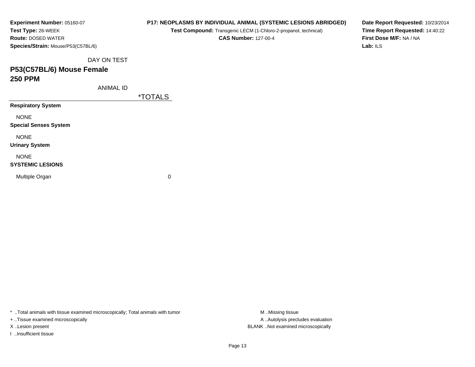| Experiment Number: 05160-07        |
|------------------------------------|
| Test Type: 26-WEEK                 |
| <b>Route:</b> DOSED WATER          |
| Species/Strain: Mouse/P53(C57BL/6) |

**Test Compound:** Transgenic LECM (1-Chloro-2-propanol, technical)

**CAS Number:** 127-00-4

**Date Report Requested:** 10/23/2014**Time Report Requested:** 14:40:22**First Dose M/F:** NA / NA**Lab:** ILS

DAY ON TEST

## **P53(C57BL/6) Mouse Female250 PPM**

ANIMAL ID

\*TOTALS

**Respiratory System**

NONE

**Special Senses System**

NONE

**Urinary System**

NONE

#### **SYSTEMIC LESIONS**

Multiple Organ

 $\mathbf n$  0

\* ..Total animals with tissue examined microscopically; Total animals with tumor **M** ...Missing tissue M ...Missing tissue

+ ..Tissue examined microscopically

I ..Insufficient tissue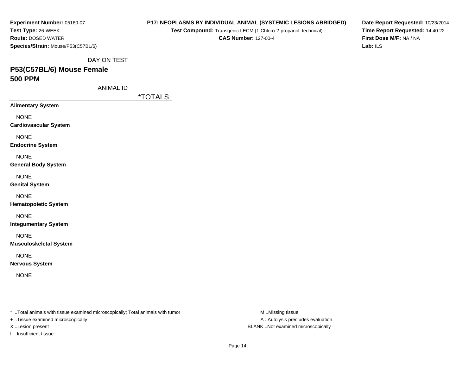| Experiment Number: 05160-07        |
|------------------------------------|
| Test Type: 26-WEEK                 |
| <b>Route: DOSED WATER</b>          |
| Species/Strain: Mouse/P53(C57BL/6) |

**Test Compound:** Transgenic LECM (1-Chloro-2-propanol, technical)

**CAS Number:** 127-00-4

**Date Report Requested:** 10/23/2014**Time Report Requested:** 14:40:22**First Dose M/F:** NA / NA**Lab:** ILS

DAY ON TEST

# **P53(C57BL/6) Mouse Female500 PPM**

ANIMAL ID

\*TOTALS

**Alimentary System**

NONE

**Cardiovascular System**

NONE

**Endocrine System**

NONE

**General Body System**

NONE

**Genital System**

NONE

**Hematopoietic System**

NONE

**Integumentary System**

NONE

**Musculoskeletal System**

NONE

**Nervous System**

NONE

\* ..Total animals with tissue examined microscopically; Total animals with tumor **M** ..Missing tissue M ..Missing tissue

+ ..Tissue examined microscopically

I ..Insufficient tissue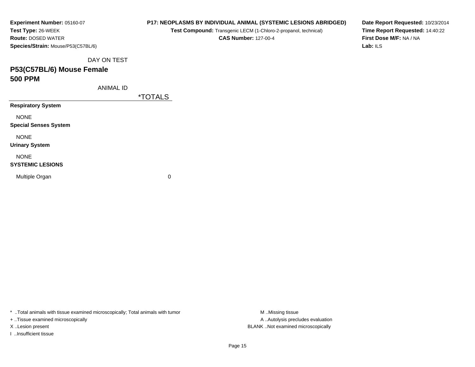| Experiment Number: 05160-07        |  |  |  |  |  |  |  |  |  |
|------------------------------------|--|--|--|--|--|--|--|--|--|
| Test Type: 26-WEEK                 |  |  |  |  |  |  |  |  |  |
| <b>Route:</b> DOSED WATER          |  |  |  |  |  |  |  |  |  |
| Species/Strain: Mouse/P53(C57BL/6) |  |  |  |  |  |  |  |  |  |

**Test Compound:** Transgenic LECM (1-Chloro-2-propanol, technical)

**CAS Number:** 127-00-4

**Date Report Requested:** 10/23/2014**Time Report Requested:** 14:40:22**First Dose M/F:** NA / NA**Lab:** ILS

DAY ON TEST

## **P53(C57BL/6) Mouse Female500 PPM**

ANIMAL ID

\*TOTALS

**Respiratory System**

NONE

**Special Senses System**

NONE

**Urinary System**

NONE

#### **SYSTEMIC LESIONS**

Multiple Organ

 $\mathbf n$  0

\* ..Total animals with tissue examined microscopically; Total animals with tumor **M** ...Missing tissue M ...Missing tissue

+ ..Tissue examined microscopically

I ..Insufficient tissue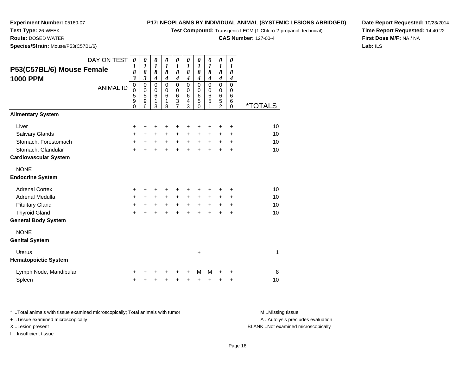**Test Compound:** Transgenic LECM (1-Chloro-2-propanol, technical)

**CAS Number:** 127-00-4

**Date Report Requested:** 10/23/2014**Time Report Requested:** 14:40:22**First Dose M/F:** NA / NA**Lab:** ILS

**Experiment Number:** 05160-07**Test Type:** 26-WEEK **Route:** DOSED WATER**Species/Strain:** Mouse/P53(C57BL/6)

| P53(C57BL/6) Mouse Female<br><b>1000 PPM</b> | DAY ON TEST<br><b>ANIMAL ID</b> | $\boldsymbol{\theta}$<br>$\boldsymbol{l}$<br>8<br>$\mathfrak{z}$<br>$\mathbf 0$<br>$\mathbf 0$<br>5<br>9<br>0 | 0<br>1<br>8<br>$\mathfrak{z}$<br>$\pmb{0}$<br>$\pmb{0}$<br>5<br>$\mathsf g$<br>6 | 0<br>$\boldsymbol{l}$<br>8<br>$\boldsymbol{4}$<br>$\mathbf 0$<br>$\pmb{0}$<br>6<br>1<br>3 | 0<br>$\boldsymbol{l}$<br>8<br>$\boldsymbol{4}$<br>$\overline{0}$<br>$\mathbf 0$<br>6<br>1<br>8 | 0<br>$\boldsymbol{l}$<br>8<br>$\overline{\boldsymbol{4}}$<br>$\mathbf 0$<br>$\pmb{0}$<br>$6\phantom{1}6$<br>$\ensuremath{\mathsf{3}}$<br>$\overline{7}$ | 0<br>1<br>8<br>$\boldsymbol{4}$<br>$\mathbf 0$<br>$\pmb{0}$<br>$\,6$<br>$\overline{\mathbf{4}}$<br>3 | 0<br>$\boldsymbol{l}$<br>8<br>$\boldsymbol{4}$<br>$\mathbf 0$<br>$\mathbf 0$<br>$\,6$<br>5<br>0 | 0<br>$\boldsymbol{l}$<br>8<br>$\boldsymbol{4}$<br>$\mathbf 0$<br>$\mathbf 0$<br>$\,6$<br>$\overline{5}$<br>1 | 0<br>$\boldsymbol{l}$<br>8<br>$\boldsymbol{4}$<br>0<br>$\,0\,$<br>$\,6$<br>5<br>$\overline{2}$ | 0<br>1<br>8<br>$\boldsymbol{4}$<br>0<br>0<br>6<br>6<br>$\mathbf 0$ | <i><b>*TOTALS</b></i> |
|----------------------------------------------|---------------------------------|---------------------------------------------------------------------------------------------------------------|----------------------------------------------------------------------------------|-------------------------------------------------------------------------------------------|------------------------------------------------------------------------------------------------|---------------------------------------------------------------------------------------------------------------------------------------------------------|------------------------------------------------------------------------------------------------------|-------------------------------------------------------------------------------------------------|--------------------------------------------------------------------------------------------------------------|------------------------------------------------------------------------------------------------|--------------------------------------------------------------------|-----------------------|
| <b>Alimentary System</b>                     |                                 |                                                                                                               |                                                                                  |                                                                                           |                                                                                                |                                                                                                                                                         |                                                                                                      |                                                                                                 |                                                                                                              |                                                                                                |                                                                    |                       |
| Liver                                        |                                 | $\ddot{}$                                                                                                     | $\pm$                                                                            | +                                                                                         | +                                                                                              |                                                                                                                                                         | +                                                                                                    | +                                                                                               | +                                                                                                            | ٠                                                                                              | +                                                                  | 10                    |
| <b>Salivary Glands</b>                       |                                 | +                                                                                                             | $\ddot{}$                                                                        | $\ddot{}$                                                                                 | $\ddot{}$                                                                                      | $\ddot{}$                                                                                                                                               | $\ddot{}$                                                                                            | $\ddot{}$                                                                                       | +                                                                                                            | $\ddot{}$                                                                                      | +                                                                  | 10                    |
| Stomach, Forestomach                         |                                 | $\ddot{}$                                                                                                     | $\ddot{}$                                                                        | $\ddot{}$                                                                                 | $\ddot{}$                                                                                      | $+$                                                                                                                                                     | $+$                                                                                                  | $\ddot{}$                                                                                       | $\ddot{}$                                                                                                    | $\ddot{}$                                                                                      | $\ddot{}$                                                          | 10                    |
| Stomach, Glandular                           |                                 | $\ddot{}$                                                                                                     | $\ddot{}$                                                                        | $\ddot{}$                                                                                 | ÷                                                                                              | $\ddot{}$                                                                                                                                               | $\ddot{}$                                                                                            | $\ddot{}$                                                                                       | $\ddot{}$                                                                                                    | $\ddot{}$                                                                                      | $\ddot{}$                                                          | 10                    |
| <b>Cardiovascular System</b>                 |                                 |                                                                                                               |                                                                                  |                                                                                           |                                                                                                |                                                                                                                                                         |                                                                                                      |                                                                                                 |                                                                                                              |                                                                                                |                                                                    |                       |
| <b>NONE</b><br><b>Endocrine System</b>       |                                 |                                                                                                               |                                                                                  |                                                                                           |                                                                                                |                                                                                                                                                         |                                                                                                      |                                                                                                 |                                                                                                              |                                                                                                |                                                                    |                       |
| <b>Adrenal Cortex</b>                        |                                 | +                                                                                                             | +                                                                                | +                                                                                         | +                                                                                              |                                                                                                                                                         | ٠                                                                                                    | +                                                                                               | +                                                                                                            | ٠                                                                                              | +                                                                  | 10                    |
| <b>Adrenal Medulla</b>                       |                                 | $\ddot{}$                                                                                                     | $\ddot{}$                                                                        | $\ddot{}$                                                                                 | $\ddot{}$                                                                                      | $+$                                                                                                                                                     | $\ddot{}$                                                                                            | $\ddot{}$                                                                                       | $\ddot{}$                                                                                                    | +                                                                                              | +                                                                  | 10                    |
| <b>Pituitary Gland</b>                       |                                 | $\ddot{}$                                                                                                     | $\ddot{}$                                                                        | $\ddot{}$                                                                                 | $\ddot{}$                                                                                      | $+$                                                                                                                                                     | $\ddot{}$                                                                                            | $\ddot{}$                                                                                       | $\ddot{}$                                                                                                    | $\ddot{}$                                                                                      | $\ddot{}$                                                          | 10                    |
| <b>Thyroid Gland</b>                         |                                 | $\ddot{}$                                                                                                     | $\ddot{}$                                                                        | $\ddot{}$                                                                                 | +                                                                                              | $\ddot{}$                                                                                                                                               | $\ddot{}$                                                                                            | $\ddot{}$                                                                                       | $\div$                                                                                                       | $\div$                                                                                         | +                                                                  | 10                    |
| <b>General Body System</b>                   |                                 |                                                                                                               |                                                                                  |                                                                                           |                                                                                                |                                                                                                                                                         |                                                                                                      |                                                                                                 |                                                                                                              |                                                                                                |                                                                    |                       |
| <b>NONE</b><br><b>Genital System</b>         |                                 |                                                                                                               |                                                                                  |                                                                                           |                                                                                                |                                                                                                                                                         |                                                                                                      |                                                                                                 |                                                                                                              |                                                                                                |                                                                    |                       |
| <b>Uterus</b><br><b>Hematopoietic System</b> |                                 |                                                                                                               |                                                                                  |                                                                                           |                                                                                                |                                                                                                                                                         |                                                                                                      | +                                                                                               |                                                                                                              |                                                                                                |                                                                    | 1                     |
| Lymph Node, Mandibular                       |                                 | ٠                                                                                                             |                                                                                  |                                                                                           |                                                                                                |                                                                                                                                                         | +                                                                                                    | М                                                                                               | М                                                                                                            |                                                                                                | +                                                                  | 8                     |
| Spleen                                       |                                 | +                                                                                                             | +                                                                                | +                                                                                         | +                                                                                              | +                                                                                                                                                       | +                                                                                                    | +                                                                                               | +                                                                                                            | +                                                                                              | +                                                                  | 10                    |